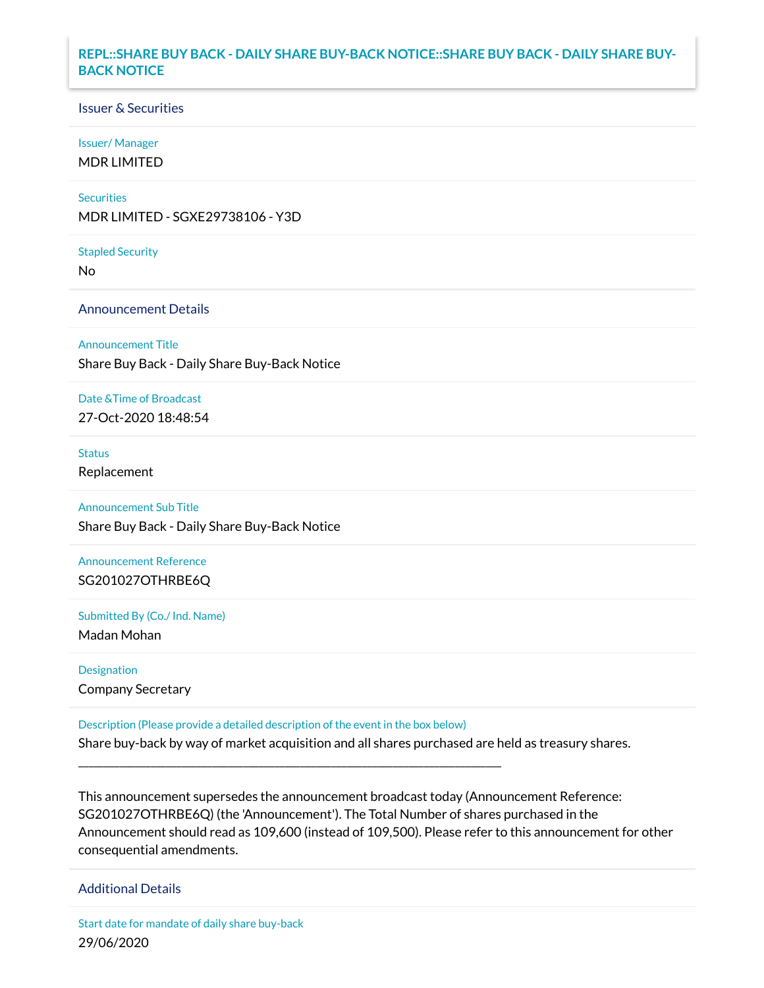### **REPL::SHARE BUY BACK - DAILY SHARE BUY-BACK NOTICE::SHARE BUY BACK - DAILY SHARE BUY-BACK NOTICE**

#### Issuer & Securities

#### Issuer/ Manager

MDR LIMITED

#### **Securities**

MDR LIMITED - SGXE29738106 - Y3D

#### Stapled Security

No

#### Announcement Details

#### Announcement Title

Share Buy Back - Daily Share Buy-Back Notice

## Date &Time of Broadcast

27-Oct-2020 18:48:54

#### **Status**

Replacement

#### Announcement Sub Title

Share Buy Back - Daily Share Buy-Back Notice

## Announcement Reference SG201027OTHRBE6Q

Submitted By (Co./ Ind. Name) Madan Mohan

# Designation

Company Secretary

Description (Please provide a detailed description of the event in the box below)

\_\_\_\_\_\_\_\_\_\_\_\_\_\_\_\_\_\_\_\_\_\_\_\_\_\_\_\_\_\_\_\_\_\_\_\_\_\_\_\_\_\_\_\_\_\_\_\_\_\_\_\_\_\_\_\_\_\_\_\_\_\_\_\_\_\_\_\_\_\_\_\_\_\_\_\_\_\_\_\_\_\_

Share buy-back by way of market acquisition and all shares purchased are held as treasury shares.

This announcement supersedes the announcement broadcast today (Announcement Reference: SG201027OTHRBE6Q) (the 'Announcement'). The Total Number of shares purchased in the Announcement should read as 109,600 (instead of 109,500). Please refer to this announcement for other consequential amendments.

#### Additional Details

Start date for mandate of daily share buy-back 29/06/2020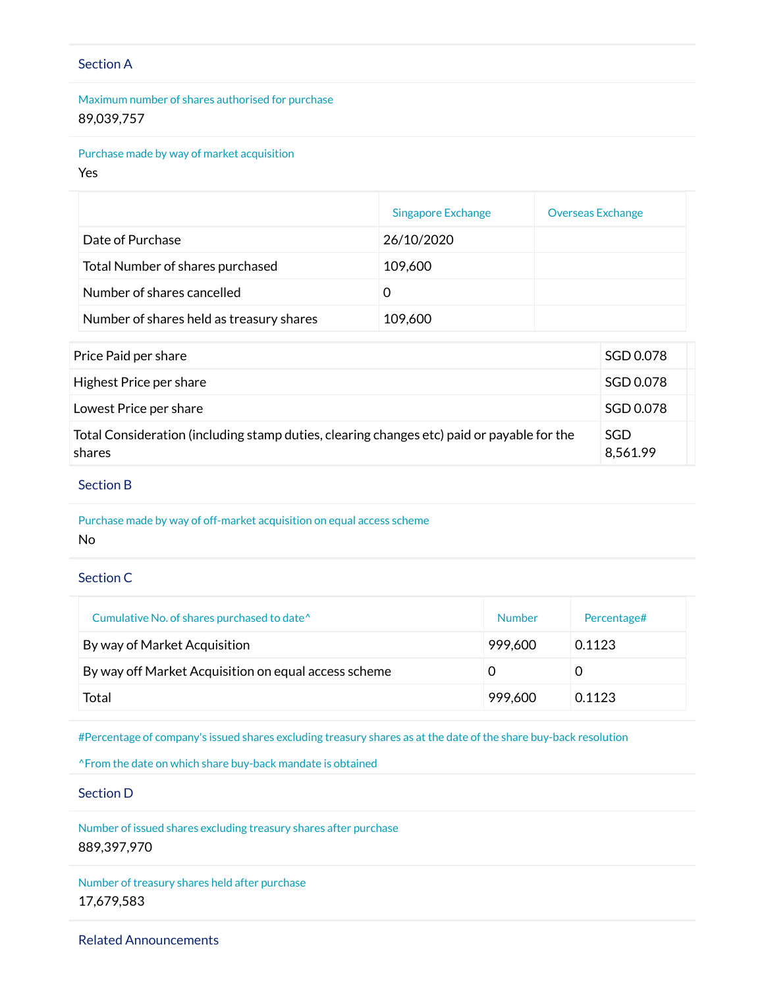## Section A

Maximum number of shares authorised for purchase 89,039,757

Purchase made by way of market acquisition

Yes

|                                          | Singapore Exchange | <b>Overseas Exchange</b> |
|------------------------------------------|--------------------|--------------------------|
| Date of Purchase                         | 26/10/2020         |                          |
| Total Number of shares purchased         | 109,600            |                          |
| Number of shares cancelled               |                    |                          |
| Number of shares held as treasury shares | 109,600            |                          |

| Price Paid per share                                                                                 | SGD 0.078       |
|------------------------------------------------------------------------------------------------------|-----------------|
| Highest Price per share                                                                              | SGD 0.078       |
| Lowest Price per share                                                                               | SGD 0.078       |
| Total Consideration (including stamp duties, clearing changes etc) paid or payable for the<br>shares | SGD<br>8,561.99 |

#### Section B

Purchase made by way of off-market acquisition on equal access scheme No

Section C

| Cumulative No. of shares purchased to date <sup>^</sup> | Number  | Percentage# |
|---------------------------------------------------------|---------|-------------|
| By way of Market Acquisition                            | 999,600 | 0.1123      |
| By way off Market Acquisition on equal access scheme    |         |             |
| Total                                                   | 999,600 | 0.1123      |

#Percentage of company's issued shares excluding treasury shares as at the date of the share buy-back resolution

^From the date on which share buy-back mandate is obtained

Section D

Number of issued shares excluding treasury shares after purchase 889,397,970

Number of treasury shares held after purchase 17,679,583

Related Announcements